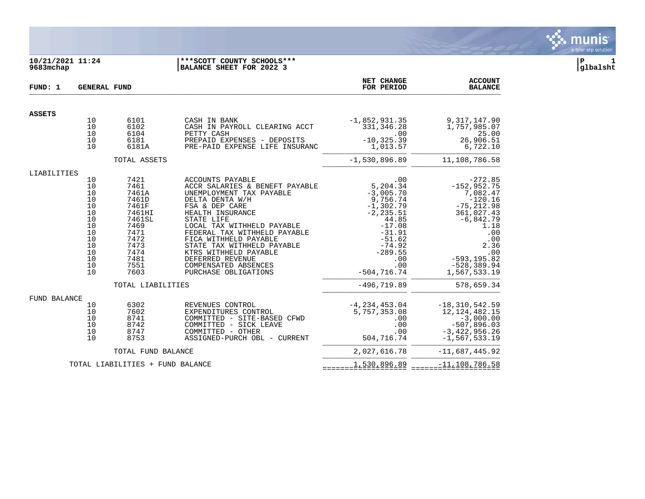#### **10/21/2021 11:24 |\*\*\*SCOTT COUNTY SCHOOLS\*\*\* |P 1 9683mchap |BALANCE SHEET FOR 2022 3 |glbalsht**

| FUND: 1             | <b>GENERAL FUND</b>                                                                    |                                                                                                                             |                                                                                                                                                                                                                                                                                                                                                                         | NET CHANGE<br>FOR PERIOD                                                                                                                                                         | <b>ACCOUNT</b><br><b>BALANCE</b>                                                                                                                                                              |
|---------------------|----------------------------------------------------------------------------------------|-----------------------------------------------------------------------------------------------------------------------------|-------------------------------------------------------------------------------------------------------------------------------------------------------------------------------------------------------------------------------------------------------------------------------------------------------------------------------------------------------------------------|----------------------------------------------------------------------------------------------------------------------------------------------------------------------------------|-----------------------------------------------------------------------------------------------------------------------------------------------------------------------------------------------|
| <b>ASSETS</b>       |                                                                                        |                                                                                                                             |                                                                                                                                                                                                                                                                                                                                                                         |                                                                                                                                                                                  |                                                                                                                                                                                               |
|                     | 10<br>10<br>10<br>10<br>10                                                             | 6101<br>6102<br>6104<br>6181<br>6181A                                                                                       | CASH IN BANK<br>CASH IN PAYROLL CLEARING ACCT<br>PETTY CASH<br>PREPAID EXPENSES - DEPOSITS<br>PRE-PAID EXPENSE LIFE INSURANC                                                                                                                                                                                                                                            | $-1,852,931.35$<br>331, 346.28<br>.00<br>$-10, 325.39$<br>1,013.57                                                                                                               | 9, 317, 147.90<br>1,757,985.07<br>25.00<br>26,906.51<br>6,722.10                                                                                                                              |
|                     |                                                                                        | TOTAL ASSETS                                                                                                                |                                                                                                                                                                                                                                                                                                                                                                         | $-1,530,896.89$                                                                                                                                                                  | 11,108,786.58                                                                                                                                                                                 |
| LIABILITIES         | 10<br>10<br>10<br>10<br>10<br>10<br>10<br>10<br>10<br>10<br>10<br>10<br>10<br>10<br>10 | 7421<br>7461<br>7461A<br>7461D<br>7461F<br>7461HI<br>7461SL<br>7469<br>7471<br>7472<br>7473<br>7474<br>7481<br>7551<br>7603 | ACCOUNTS PAYABLE<br>ACCR SALARIES & BENEFT PAYABLE<br>UNEMPLOYMENT TAX PAYABLE<br>DELTA DENTA W/H<br>FSA & DEP CARE<br>HEALTH INSURANCE<br>STATE LIFE<br>LOCAL TAX WITHHELD PAYABLE<br>FEDERAL TAX WITHHELD PAYABLE<br>FICA WITHHELD PAYABLE<br>STATE TAX WITHHELD PAYABLE<br>KTRS WITHHELD PAYABLE<br>DEFERRED REVENUE<br>COMPENSATED ABSENCES<br>PURCHASE OBLIGATIONS | .00<br>5,204.34<br>$-3,005.70$<br>9,756.74<br>$-1, 302.79$<br>$-2, 235.51$<br>44.85<br>$-17.08$<br>$-31.91$<br>$-51.62$<br>$-74.92$<br>$-289.55$<br>.00<br>.00<br>$-504, 716.74$ | $-272.85$<br>$-152, 952.75$<br>7,082.47<br>$-120.16$<br>$-75, 212.98$<br>361,027.43<br>$-6,842.79$<br>1.18<br>.00<br>$.00$<br>2.36<br>.00<br>$-593, 195.82$<br>$-528, 389.94$<br>1,567,533.19 |
|                     |                                                                                        | TOTAL LIABILITIES                                                                                                           |                                                                                                                                                                                                                                                                                                                                                                         | $-496, 719.89$                                                                                                                                                                   | 578,659.34                                                                                                                                                                                    |
| <b>FUND BALANCE</b> | 10<br>10<br>10<br>10<br>10<br>10                                                       | 6302<br>7602<br>8741<br>8742<br>8747<br>8753                                                                                | REVENUES CONTROL<br>EXPENDITURES CONTROL<br>COMMITTED - SITE-BASED CFWD<br>COMMITTED - SICK LEAVE<br>COMMITTED - OTHER<br>ASSIGNED-PURCH OBL - CURRENT                                                                                                                                                                                                                  | $-4, 234, 453.04$<br>5,757,353.08<br>.00<br>.00<br>.00<br>504,716.74                                                                                                             | $-18, 310, 542.59$<br>12, 124, 482. 15<br>$-3,000.00$<br>$-507,896.03$<br>$-3,422,956.26$<br>$-1, 567, 533.19$                                                                                |
|                     |                                                                                        | TOTAL FUND BALANCE                                                                                                          |                                                                                                                                                                                                                                                                                                                                                                         | 2,027,616.78                                                                                                                                                                     | $-11,687,445.92$                                                                                                                                                                              |
|                     |                                                                                        | TOTAL LIABILITIES + FUND BALANCE                                                                                            |                                                                                                                                                                                                                                                                                                                                                                         | 1,530,896.89                                                                                                                                                                     | $\frac{-11}{2}$ $\frac{108}{2}$ $\frac{786}{2}$ $\frac{58}{2}$                                                                                                                                |

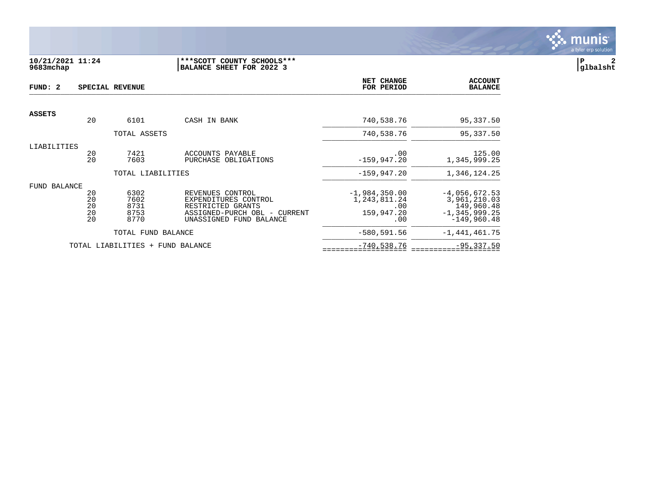

### **10/21/2021 11:24 |\*\*\*SCOTT COUNTY SCHOOLS\*\*\* |P 2 9683mchap |BALANCE SHEET FOR 2022 3 |glbalsht**

| FUND: 2       |                            | SPECIAL REVENUE                      |                                                                                                                          | <b>NET CHANGE</b><br>FOR PERIOD                             | <b>ACCOUNT</b><br><b>BALANCE</b>                                                    |
|---------------|----------------------------|--------------------------------------|--------------------------------------------------------------------------------------------------------------------------|-------------------------------------------------------------|-------------------------------------------------------------------------------------|
| <b>ASSETS</b> |                            |                                      |                                                                                                                          |                                                             |                                                                                     |
|               | 20                         | 6101                                 | CASH IN BANK                                                                                                             | 740,538.76                                                  | 95,337.50                                                                           |
|               |                            | TOTAL ASSETS                         |                                                                                                                          | 740,538.76                                                  | 95,337.50                                                                           |
| LIABILITIES   |                            |                                      |                                                                                                                          |                                                             |                                                                                     |
|               | 20<br>20                   | 7421<br>7603                         | ACCOUNTS PAYABLE<br>PURCHASE OBLIGATIONS                                                                                 | .00<br>$-159, 947.20$                                       | 125.00<br>1,345,999.25                                                              |
|               |                            | TOTAL LIABILITIES                    |                                                                                                                          | $-159, 947.20$                                              | 1,346,124.25                                                                        |
| FUND BALANCE  |                            |                                      |                                                                                                                          |                                                             |                                                                                     |
|               | 20<br>20<br>20<br>20<br>20 | 6302<br>7602<br>8731<br>8753<br>8770 | REVENUES CONTROL<br>EXPENDITURES CONTROL<br>RESTRICTED GRANTS<br>ASSIGNED-PURCH OBL - CURRENT<br>UNASSIGNED FUND BALANCE | $-1,984,350.00$<br>1,243,811.24<br>.00<br>159,947.20<br>.00 | $-4,056,672.53$<br>3,961,210.03<br>149,960.48<br>$-1, 345, 999.25$<br>$-149,960.48$ |
|               |                            | TOTAL FUND BALANCE                   |                                                                                                                          | $-580, 591.56$                                              | $-1,441,461.75$                                                                     |
|               |                            | TOTAL LIABILITIES + FUND BALANCE     |                                                                                                                          | $-740,538.76$                                               | $-95, 337.50$                                                                       |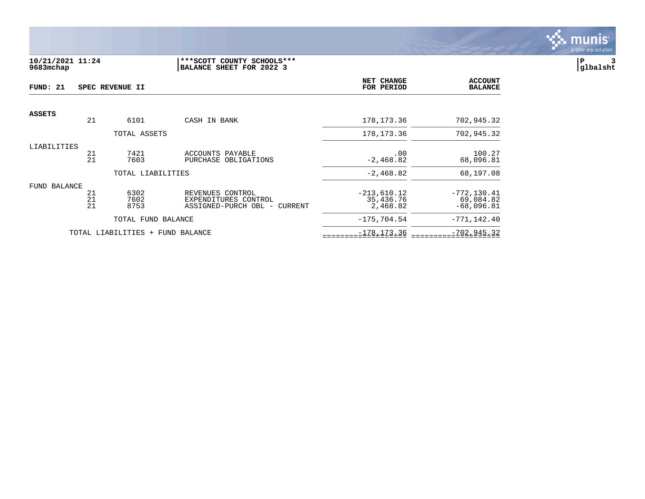

## **10/21/2021 11:24 |\*\*\*SCOTT COUNTY SCHOOLS\*\*\* |P 3 9683mchap |BALANCE SHEET FOR 2022 3 |glbalsht**

| FUND: 21      |                | SPEC REVENUE II      |                                                                             | NET CHANGE<br>FOR PERIOD               | <b>ACCOUNT</b><br><b>BALANCE</b>            |
|---------------|----------------|----------------------|-----------------------------------------------------------------------------|----------------------------------------|---------------------------------------------|
| <b>ASSETS</b> |                |                      |                                                                             |                                        |                                             |
|               | 21             | 6101                 | CASH IN BANK                                                                | 178, 173. 36                           | 702,945.32                                  |
|               |                | TOTAL ASSETS         |                                                                             | 178, 173. 36                           | 702,945.32                                  |
| LIABILITIES   | 21<br>21       | 7421<br>7603         | ACCOUNTS PAYABLE<br>PURCHASE OBLIGATIONS                                    | .00<br>$-2,468.82$                     | 100.27<br>68,096.81                         |
|               |                | TOTAL LIABILITIES    |                                                                             | $-2,468.82$                            | 68,197.08                                   |
| FUND BALANCE  | 21<br>21<br>21 | 6302<br>7602<br>8753 | REVENUES CONTROL<br>EXPENDITURES CONTROL<br>ASSIGNED-PURCH OBL -<br>CURRENT | $-213,610.12$<br>35,436.76<br>2,468.82 | $-772, 130.41$<br>69,084.82<br>$-68,096.81$ |
|               |                | TOTAL FUND BALANCE   |                                                                             | $-175,704.54$                          | $-771, 142.40$                              |
|               |                | TOTAL LIABILITIES +  | FUND BALANCE                                                                | $-178, 173.36$                         | $-702, 945.32$                              |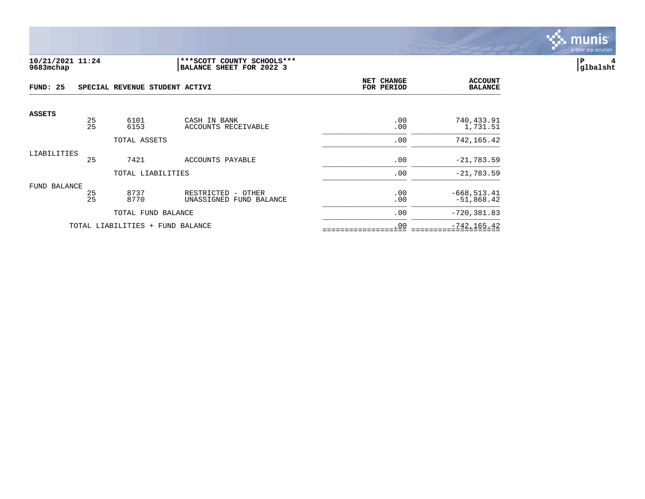

## **10/21/2021 11:24 |\*\*\*SCOTT COUNTY SCHOOLS\*\*\* |P 4 9683mchap |BALANCE SHEET FOR 2022 3 |glbalsht**

| FUND: 25      |          | SPECIAL REVENUE STUDENT ACTIVI   |                                                     | <b>NET CHANGE</b><br>FOR PERIOD | <b>ACCOUNT</b><br><b>BALANCE</b> |
|---------------|----------|----------------------------------|-----------------------------------------------------|---------------------------------|----------------------------------|
| <b>ASSETS</b> |          |                                  |                                                     |                                 |                                  |
|               | 25<br>25 | 6101<br>6153                     | CASH IN BANK<br>ACCOUNTS RECEIVABLE                 | .00<br>.00                      | 740,433.91<br>1,731.51           |
|               |          | TOTAL ASSETS                     |                                                     | .00                             | 742, 165.42                      |
| LIABILITIES   | 25       | 7421                             | ACCOUNTS PAYABLE                                    | .00                             | $-21,783.59$                     |
|               |          | TOTAL LIABILITIES                |                                                     | .00                             | $-21,783.59$                     |
| FUND BALANCE  | 25<br>25 | 8737<br>8770                     | RESTRICTED<br>- OTHER<br>UNASSIGNED<br>FUND BALANCE | .00<br>.00                      | $-668, 513.41$<br>$-51,868.42$   |
|               |          | TOTAL FUND BALANCE               |                                                     | .00                             | $-720, 381.83$                   |
|               |          | TOTAL LIABILITIES + FUND BALANCE |                                                     | .00                             | $-742, 165.42$                   |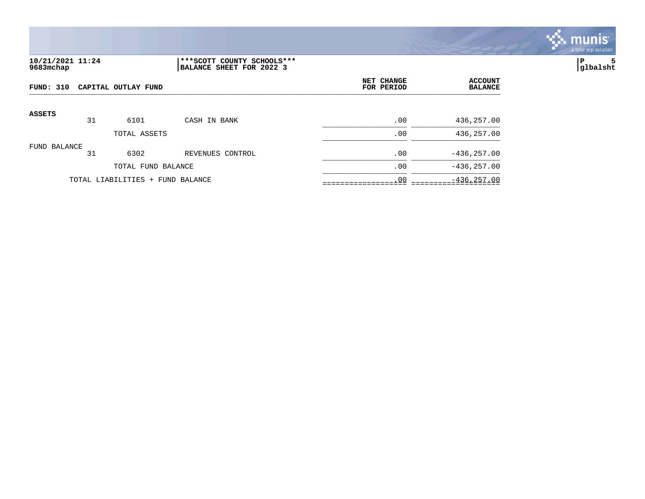

# **10/21/2021 11:24 |\*\*\*SCOTT COUNTY SCHOOLS\*\*\* |P 5 9683mchap |BALANCE SHEET FOR 2022 3 |glbalsht**

| FUND: 310     |    | CAPITAL OUTLAY FUND              |                  | NET CHANGE<br>FOR PERIOD | <b>ACCOUNT</b><br><b>BALANCE</b> |
|---------------|----|----------------------------------|------------------|--------------------------|----------------------------------|
| <b>ASSETS</b> | 31 | 6101                             | CASH IN BANK     | .00                      | 436,257.00                       |
|               |    | TOTAL ASSETS                     |                  | .00                      | 436,257.00                       |
| FUND BALANCE  | 31 | 6302                             | REVENUES CONTROL | .00                      | $-436, 257.00$                   |
|               |    | TOTAL FUND BALANCE               |                  | .00                      | $-436, 257.00$                   |
|               |    | TOTAL LIABILITIES + FUND BALANCE |                  | .00                      | $-436, 257.00$                   |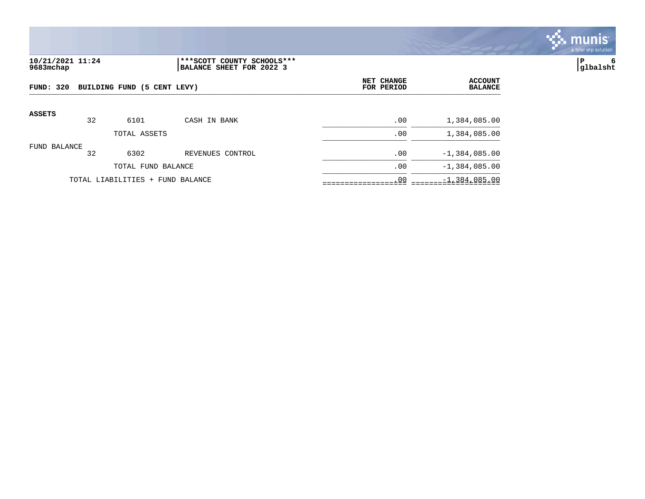

# **10/21/2021 11:24 |\*\*\*SCOTT COUNTY SCHOOLS\*\*\* |P 6 9683mchap |BALANCE SHEET FOR 2022 3 |glbalsht**

| FUND: 320     |    | BUILDING FUND (5 CENT LEVY)      |                  | NET CHANGE<br>FOR PERIOD | <b>ACCOUNT</b><br><b>BALANCE</b> |
|---------------|----|----------------------------------|------------------|--------------------------|----------------------------------|
| <b>ASSETS</b> | 32 | 6101                             | CASH IN BANK     | .00                      | 1,384,085.00                     |
|               |    | TOTAL ASSETS                     |                  | .00                      | 1,384,085.00                     |
| FUND BALANCE  | 32 | 6302                             | REVENUES CONTROL | .00                      | $-1,384,085.00$                  |
|               |    | TOTAL FUND BALANCE               |                  | .00                      | $-1,384,085.00$                  |
|               |    | TOTAL LIABILITIES + FUND BALANCE |                  | .00                      | $-1,384,085.00$                  |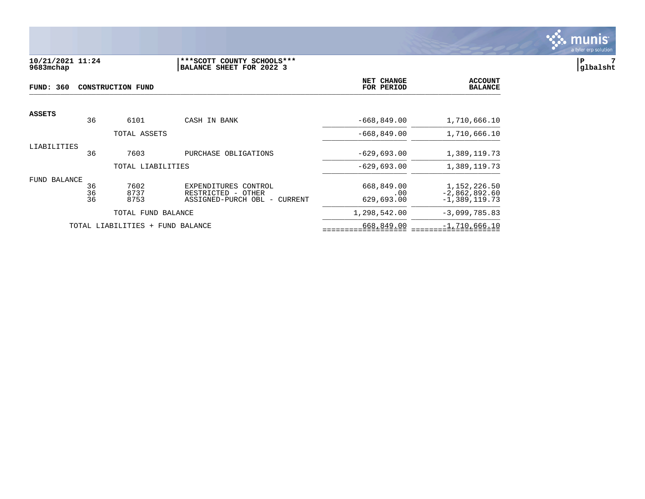

# **10/21/2021 11:24 |\*\*\*SCOTT COUNTY SCHOOLS\*\*\* |P 7 9683mchap |BALANCE SHEET FOR 2022 3 |glbalsht**

| <b>FUND: 360</b> |                | CONSTRUCTION FUND                | <b>NET CHANGE</b><br>FOR PERIOD                                                                         | <b>ACCOUNT</b><br><b>BALANCE</b> |                                                      |
|------------------|----------------|----------------------------------|---------------------------------------------------------------------------------------------------------|----------------------------------|------------------------------------------------------|
| <b>ASSETS</b>    | 36             | 6101                             | CASH IN BANK                                                                                            | $-668,849.00$                    | 1,710,666.10                                         |
|                  |                |                                  |                                                                                                         |                                  |                                                      |
|                  |                | TOTAL ASSETS                     |                                                                                                         | $-668,849.00$                    | 1,710,666.10                                         |
| LIABILITIES      | 36             | 7603                             | PURCHASE OBLIGATIONS                                                                                    | $-629,693.00$                    | 1,389,119.73                                         |
|                  |                | TOTAL LIABILITIES                |                                                                                                         | $-629,693.00$                    | 1,389,119.73                                         |
| FUND BALANCE     | 36<br>36<br>36 | 7602<br>8737<br>8753             | EXPENDITURES CONTROL<br>RESTRICTED<br>OTHER<br>$\overline{\phantom{0}}$<br>ASSIGNED-PURCH OBL - CURRENT | 668,849.00<br>.00<br>629,693.00  | 1,152,226.50<br>$-2,862,892.60$<br>$-1, 389, 119.73$ |
|                  |                | TOTAL FUND BALANCE               |                                                                                                         | 1,298,542.00                     | $-3,099,785.83$                                      |
|                  |                | TOTAL LIABILITIES + FUND BALANCE |                                                                                                         | 668,849.00                       | $-1,710,666.10$                                      |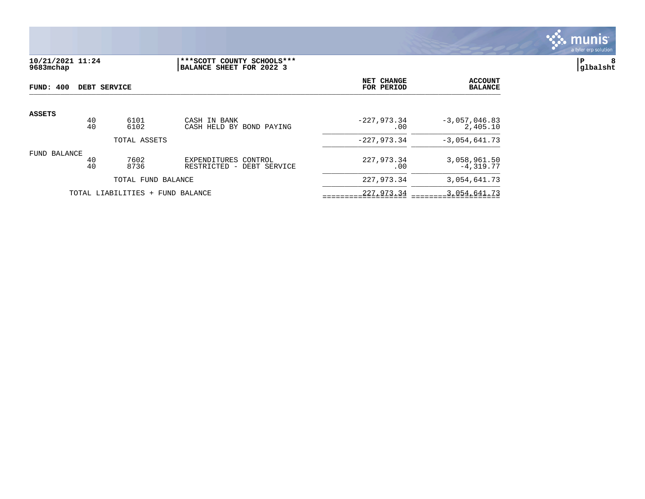

**10/21/2021 11:24 |\*\*\*SCOTT COUNTY SCHOOLS\*\*\* |P 8 9683mchap |BALANCE SHEET FOR 2022 3 |glbalsht**

| FUND: 400                        |          | DEBT SERVICE       | NET CHANGE<br>FOR PERIOD                             | <b>ACCOUNT</b><br><b>BALANCE</b> |                             |
|----------------------------------|----------|--------------------|------------------------------------------------------|----------------------------------|-----------------------------|
| <b>ASSETS</b>                    | 40<br>40 | 6101<br>6102       | CASH IN BANK                                         | $-227,973.34$                    | $-3,057,046.83$             |
|                                  |          | TOTAL ASSETS       | CASH HELD BY BOND PAYING                             | .00<br>$-227,973.34$             | 2,405.10<br>$-3,054,641.73$ |
| FUND BALANCE                     | 40<br>40 | 7602<br>8736       | EXPENDITURES CONTROL<br>RESTRICTED -<br>DEBT SERVICE | 227,973.34<br>.00                | 3,058,961.50<br>$-4,319.77$ |
|                                  |          | TOTAL FUND BALANCE |                                                      | 227,973.34                       | 3,054,641.73                |
| TOTAL LIABILITIES + FUND BALANCE |          |                    |                                                      | 227,973.34                       | 3,054,641.73                |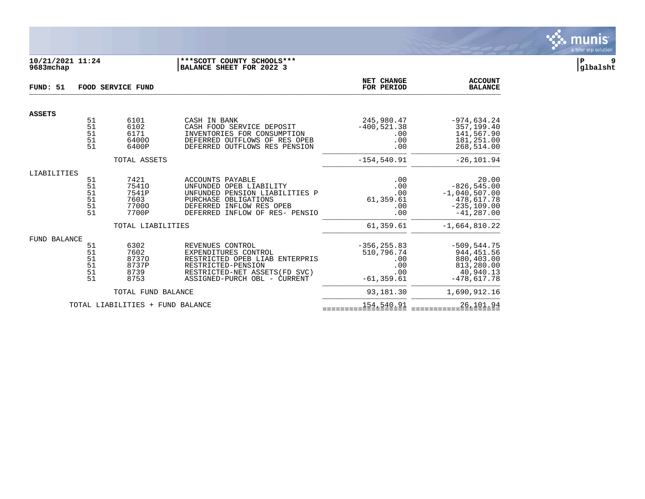

#### **10/21/2021 11:24 |\*\*\*SCOTT COUNTY SCHOOLS\*\*\* |P 9 9683mchap |BALANCE SHEET FOR 2022 3 |glbalsht**

| FUND: 51<br>FOOD SERVICE FUND |                                  |                                                  |                                                                                                                                                                     | NET CHANGE<br>FOR PERIOD                                           | <b>ACCOUNT</b><br><b>BALANCE</b>                                                            |
|-------------------------------|----------------------------------|--------------------------------------------------|---------------------------------------------------------------------------------------------------------------------------------------------------------------------|--------------------------------------------------------------------|---------------------------------------------------------------------------------------------|
| <b>ASSETS</b>                 |                                  |                                                  |                                                                                                                                                                     |                                                                    |                                                                                             |
|                               | 51<br>51<br>51<br>51<br>51       | 6101<br>6102<br>6171<br>64000<br>6400P           | CASH IN BANK<br>CASH FOOD SERVICE DEPOSIT<br>INVENTORIES FOR CONSUMPTION<br>DEFERRED OUTFLOWS OF RES OPEB<br>DEFERRED OUTFLOWS RES PENSION                          | 245,980.47<br>$-400, 521.38$<br>.00<br>.00<br>.00                  | $-974, 634.24$<br>357,199.40<br>141,567.90<br>181,251.00<br>268,514.00                      |
|                               |                                  | TOTAL ASSETS                                     |                                                                                                                                                                     | $-154.540.91$                                                      | $-26, 101.94$                                                                               |
| LIABILITIES                   |                                  |                                                  |                                                                                                                                                                     |                                                                    |                                                                                             |
|                               | 51<br>51<br>51<br>51<br>51<br>51 | 7421<br>75410<br>7541P<br>7603<br>77000<br>7700P | ACCOUNTS PAYABLE<br>UNFUNDED OPEB LIABILITY<br>UNFUNDED PENSION LIABILITIES P<br>PURCHASE OBLIGATIONS<br>DEFERRED INFLOW RES OPEB<br>DEFERRED INFLOW OF RES- PENSIO | .00<br>.00<br>.00<br>61,359.61<br>.00<br>.00                       | 20.00<br>$-826, 545.00$<br>$-1,040,507.00$<br>478,617.78<br>$-235, 109.00$<br>$-41, 287.00$ |
|                               |                                  | TOTAL LIABILITIES                                |                                                                                                                                                                     | 61,359.61                                                          | $-1,664,810.22$                                                                             |
| <b>FUND BALANCE</b>           | 51<br>51<br>51<br>51<br>51<br>51 | 6302<br>7602<br>87370<br>8737P<br>8739<br>8753   | REVENUES CONTROL<br>EXPENDITURES CONTROL<br>RESTRICTED OPEB LIAB ENTERPRIS<br>RESTRICTED-PENSION<br>RESTRICTED-NET ASSETS (FD SVC)<br>ASSIGNED-PURCH OBL - CURRENT  | $-356, 255.83$<br>510,796.74<br>.00<br>.00<br>.00<br>$-61, 359.61$ | $-509, 544.75$<br>944, 451.56<br>880,403.00<br>813,280.00<br>40,940.13<br>$-478,617.78$     |
|                               |                                  | TOTAL FUND BALANCE                               |                                                                                                                                                                     | 93,181.30                                                          | 1,690,912.16                                                                                |
|                               |                                  | TOTAL LIABILITIES + FUND BALANCE                 |                                                                                                                                                                     | 154,540.91                                                         | 26, 101.94                                                                                  |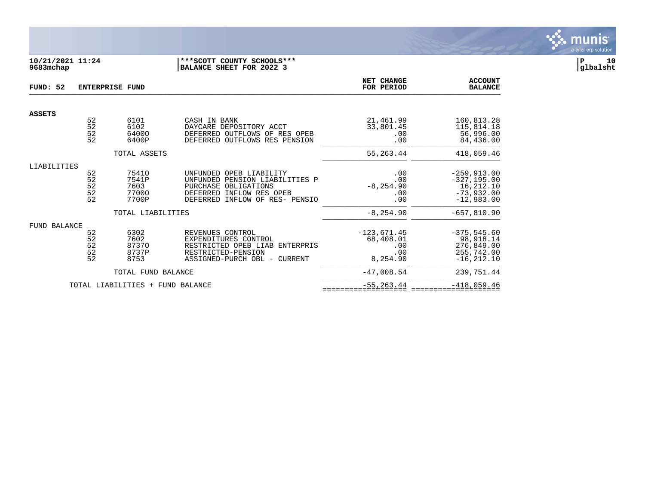| FUND: 52            | <b>ENTERPRISE FUND</b>                              |                                        |                                                                                                                                         | NET CHANGE<br>FOR PERIOD                             | <b>ACCOUNT</b><br><b>BALANCE</b>                                         |
|---------------------|-----------------------------------------------------|----------------------------------------|-----------------------------------------------------------------------------------------------------------------------------------------|------------------------------------------------------|--------------------------------------------------------------------------|
|                     |                                                     |                                        |                                                                                                                                         |                                                      |                                                                          |
| <b>ASSETS</b>       | $\begin{array}{c} 52 \\ 52 \end{array}$<br>52<br>52 | 6101<br>6102<br>64000<br>6400P         | CASH IN BANK<br>DAYCARE DEPOSITORY ACCT<br>DEFERRED OUTFLOWS OF RES OPEB<br>DEFERRED OUTFLOWS RES PENSION                               | 21,461.99<br>33,801.45<br>.00<br>.00                 | 160,813.28<br>115,814.18<br>56,996.00<br>84,436.00                       |
|                     |                                                     | TOTAL ASSETS                           |                                                                                                                                         | 55,263.44                                            | 418,059.46                                                               |
| LIABILITIES         | 52                                                  | 75410                                  | UNFUNDED OPEB LIABILITY                                                                                                                 | .00                                                  | $-259,913.00$                                                            |
|                     | 52<br>$\begin{array}{c} 52 \\ 52 \end{array}$<br>52 | 7541P<br>7603<br>77000<br>7700P        | PENSION LIABILITIES P<br>UNFUNDED<br>PURCHASE<br>OBLIGATIONS<br>INFLOW RES OPEB<br>DEFERRED<br><b>DEFERRED</b><br>INFLOW OF RES- PENSIO | .00<br>$-8, 254.90$<br>.00<br>.00                    | $-327, 195.00$<br>16,212.10<br>$-73,932.00$<br>$-12,983.00$              |
|                     |                                                     | TOTAL LIABILITIES                      |                                                                                                                                         | $-8, 254.90$                                         | $-657,810.90$                                                            |
| <b>FUND BALANCE</b> | 52<br>52<br>$\overline{52}$<br>52<br>52             | 6302<br>7602<br>87370<br>8737P<br>8753 | REVENUES CONTROL<br>EXPENDITURES CONTROL<br>RESTRICTED OPEB LIAB ENTERPRIS<br>RESTRICTED-PENSION<br>ASSIGNED-PURCH OBL - CURRENT        | $-123,671.45$<br>68,408.01<br>.00<br>.00<br>8,254.90 | $-375, 545.60$<br>98,918.14<br>276,849.00<br>255,742.00<br>$-16, 212.10$ |
|                     |                                                     | TOTAL FUND BALANCE                     |                                                                                                                                         | $-47,008.54$                                         | 239,751.44                                                               |
|                     |                                                     | TOTAL LIABILITIES + FUND BALANCE       |                                                                                                                                         | $-55, 263.44$                                        | $-418,059.46$                                                            |

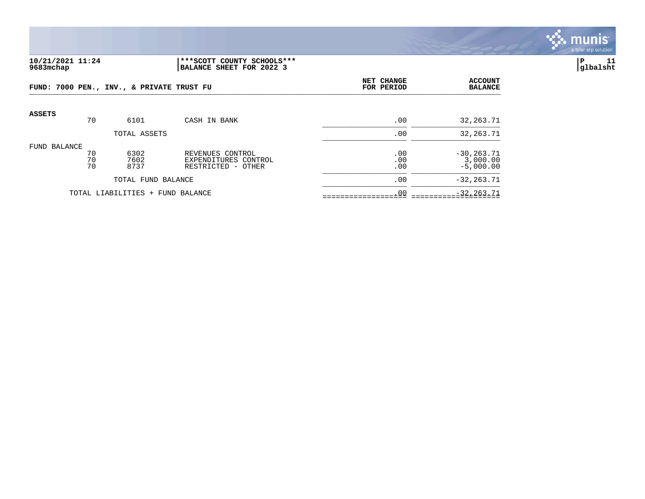

## **10/21/2021 11:24 |\*\*\*SCOTT COUNTY SCHOOLS\*\*\* |P 11 9683mchap |BALANCE SHEET FOR 2022 3 |glbalsht**

|              |                | FUND: 7000 PEN., INV., & PRIVATE TRUST FU |                                                                | NET CHANGE<br>FOR PERIOD | <b>ACCOUNT</b><br><b>BALANCE</b>         |
|--------------|----------------|-------------------------------------------|----------------------------------------------------------------|--------------------------|------------------------------------------|
| ASSETS       | 70             | 6101                                      | CASH IN BANK                                                   | .00                      | 32, 263. 71                              |
|              |                | TOTAL ASSETS                              |                                                                | .00                      | 32, 263. 71                              |
| FUND BALANCE | 70<br>70<br>70 | 6302<br>7602<br>8737                      | REVENUES CONTROL<br>EXPENDITURES CONTROL<br>RESTRICTED - OTHER | .00<br>.00<br>.00        | $-30, 263.71$<br>3,000.00<br>$-5,000.00$ |
|              |                | TOTAL FUND BALANCE                        |                                                                | .00                      | $-32, 263, 71$                           |
|              |                | TOTAL LIABILITIES + FUND BALANCE          |                                                                | .00                      | $-32, 263.71$                            |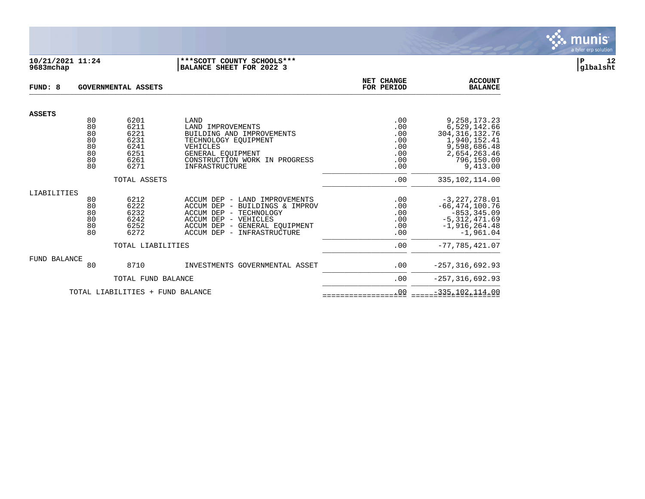| FUND: 8             |                                              | <b>GOVERNMENTAL ASSETS</b>                                   | NET CHANGE<br>FOR PERIOD                                                                                                                                                                     | <b>ACCOUNT</b><br><b>BALANCE</b>                     |                                                                                                                               |
|---------------------|----------------------------------------------|--------------------------------------------------------------|----------------------------------------------------------------------------------------------------------------------------------------------------------------------------------------------|------------------------------------------------------|-------------------------------------------------------------------------------------------------------------------------------|
|                     |                                              |                                                              |                                                                                                                                                                                              |                                                      |                                                                                                                               |
| <b>ASSETS</b>       | 80<br>80<br>80<br>80<br>80<br>80<br>80<br>80 | 6201<br>6211<br>6221<br>6231<br>6241<br>6251<br>6261<br>6271 | LAND<br>LAND IMPROVEMENTS<br>BUILDING AND IMPROVEMENTS<br>TECHNOLOGY EOUIPMENT<br>VEHICLES<br>GENERAL EQUIPMENT<br>CONSTRUCTION WORK IN PROGRESS<br>INFRASTRUCTURE                           | .00<br>.00<br>.00<br>.00<br>.00<br>.00<br>.00<br>.00 | 9, 258, 173. 23<br>6,529,142.66<br>304, 316, 132.76<br>1,940,152.41<br>9,598,686.48<br>2,654,263.46<br>796,150.00<br>9,413.00 |
|                     |                                              | TOTAL ASSETS                                                 |                                                                                                                                                                                              | .00                                                  | 335, 102, 114.00                                                                                                              |
| LIABILITIES         | 80<br>80<br>80<br>80<br>80<br>80             | 6212<br>6222<br>6232<br>6242<br>6252<br>6272                 | - LAND IMPROVEMENTS<br>ACCUM DEP<br>ACCUM DEP<br>- BUILDINGS & IMPROV<br>ACCUM DEP<br>- TECHNOLOGY<br>ACCUM DEP<br>- VEHICLES<br>ACCUM DEP - GENERAL EOUIPMENT<br>ACCUM DEP - INFRASTRUCTURE | .00<br>.00<br>.00<br>.00<br>.00<br>.00               | $-3,227,278.01$<br>$-66, 474, 100.76$<br>$-853, 345.09$<br>$-5,312,471.69$<br>$-1,916,264.48$<br>$-1,961.04$                  |
|                     |                                              | TOTAL LIABILITIES                                            |                                                                                                                                                                                              | .00                                                  | $-77,785,421.07$                                                                                                              |
| <b>FUND BALANCE</b> | 80                                           | 8710                                                         | INVESTMENTS GOVERNMENTAL ASSET                                                                                                                                                               | .00                                                  | $-257, 316, 692.93$                                                                                                           |
|                     |                                              | TOTAL FUND BALANCE<br>TOTAL LIABILITIES + FUND BALANCE       |                                                                                                                                                                                              | .00<br>.00                                           | $-257, 316, 692.93$<br>$-335, 102, 114.00$                                                                                    |